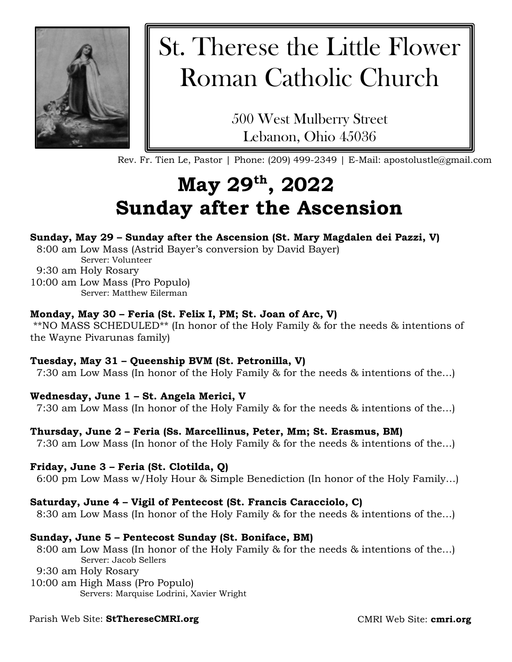

# St. Therese the Little Flower Roman Catholic Church

500 West Mulberry Street Lebanon, Ohio 45036

Rev. Fr. Tien Le, Pastor | Phone: (209) 499-2349 | E-Mail: apostolustle@gmail.com

## **May 29th, 2022 Sunday after the Ascension**

#### **Sunday, May 29 – Sunday after the Ascension (St. Mary Magdalen dei Pazzi, V)**

8:00 am Low Mass (Astrid Bayer's conversion by David Bayer)

Server: Volunteer

9:30 am Holy Rosary

10:00 am Low Mass (Pro Populo) Server: Matthew Eilerman

#### **Monday, May 30 – Feria (St. Felix I, PM; St. Joan of Arc, V)**

\*\*NO MASS SCHEDULED\*\* (In honor of the Holy Family & for the needs & intentions of the Wayne Pivarunas family)

#### **Tuesday, May 31 – Queenship BVM (St. Petronilla, V)**

7:30 am Low Mass (In honor of the Holy Family & for the needs & intentions of the…)

#### **Wednesday, June 1 – St. Angela Merici, V**

7:30 am Low Mass (In honor of the Holy Family & for the needs & intentions of the…)

#### **Thursday, June 2 – Feria (Ss. Marcellinus, Peter, Mm; St. Erasmus, BM)**

7:30 am Low Mass (In honor of the Holy Family & for the needs & intentions of the…)

#### **Friday, June 3 – Feria (St. Clotilda, Q)**

6:00 pm Low Mass w/Holy Hour & Simple Benediction (In honor of the Holy Family…)

#### **Saturday, June 4 – Vigil of Pentecost (St. Francis Caracciolo, C)**

8:30 am Low Mass (In honor of the Holy Family & for the needs & intentions of the…)

#### **Sunday, June 5 – Pentecost Sunday (St. Boniface, BM)**

8:00 am Low Mass (In honor of the Holy Family & for the needs & intentions of the…) Server: Jacob Sellers

- 9:30 am Holy Rosary
- 10:00 am High Mass (Pro Populo) Servers: Marquise Lodrini, Xavier Wright

### Parish Web Site: **StThereseCMRI.org**

CMRI Web Site: **cmri.org**